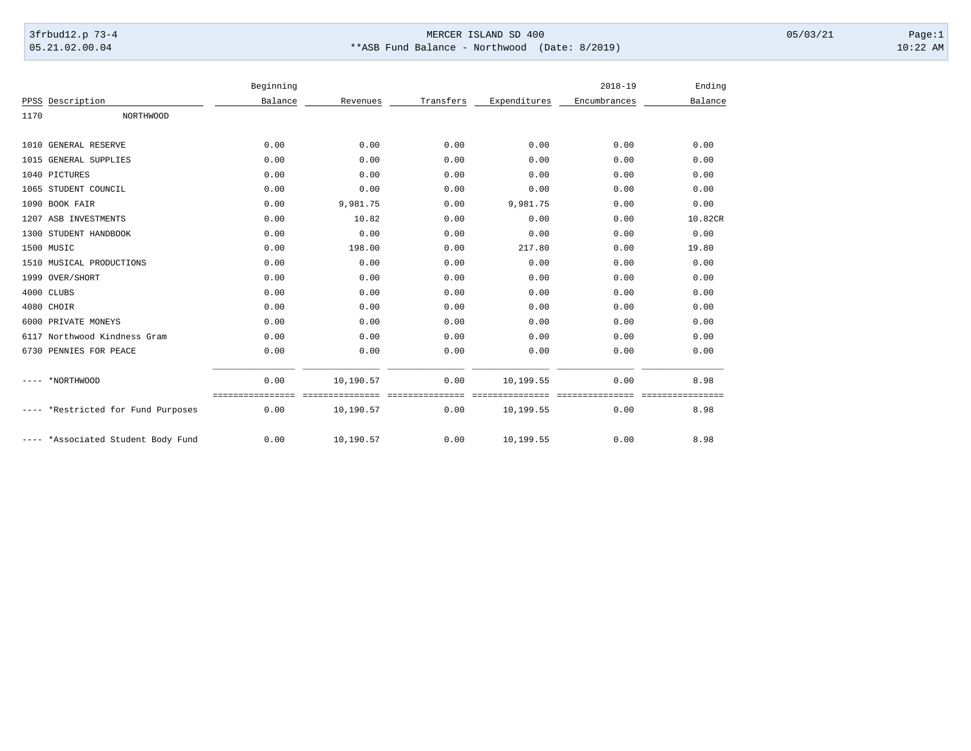## 3frbud12.p 73-4 Page:1 Page:1 05.21.02.00.04 \*\*ASB Fund Balance - Northwood (Date: 8/2019) 10:22 AM

|                                 |                  | Beginning |                             |           |              | $2018 - 19$  | Ending  |
|---------------------------------|------------------|-----------|-----------------------------|-----------|--------------|--------------|---------|
| PPSS Description                |                  | Balance   | Revenues                    | Transfers | Expenditures | Encumbrances | Balance |
| 1170                            | <b>NORTHWOOD</b> |           |                             |           |              |              |         |
| <b>GENERAL RESERVE</b><br>1010  |                  | 0.00      | 0.00                        | 0.00      | 0.00         | 0.00         | 0.00    |
| 1015 GENERAL SUPPLIES           |                  | 0.00      | 0.00                        | 0.00      | 0.00         | 0.00         | 0.00    |
| 1040 PICTURES                   |                  | 0.00      | 0.00                        | 0.00      | 0.00         | 0.00         | 0.00    |
| 1065 STUDENT COUNCIL            |                  | 0.00      | 0.00                        | 0.00      | 0.00         | 0.00         | 0.00    |
| 1090 BOOK FAIR                  |                  | 0.00      | 9,981.75                    | 0.00      | 9,981.75     | 0.00         | 0.00    |
| 1207 ASB INVESTMENTS            |                  | 0.00      | 10.82                       | 0.00      | 0.00         | 0.00         | 10.82CR |
| 1300<br>STUDENT HANDBOOK        |                  | 0.00      | 0.00                        | 0.00      | 0.00         | 0.00         | 0.00    |
| 1500 MUSIC                      |                  | 0.00      | 198.00                      | 0.00      | 217.80       | 0.00         | 19.80   |
| MUSICAL PRODUCTIONS<br>1510     |                  | 0.00      | 0.00                        | 0.00      | 0.00         | 0.00         | 0.00    |
| 1999 OVER/SHORT                 |                  | 0.00      | 0.00                        | 0.00      | 0.00         | 0.00         | 0.00    |
| 4000 CLUBS                      |                  | 0.00      | 0.00                        | 0.00      | 0.00         | 0.00         | 0.00    |
| 4080 CHOIR                      |                  | 0.00      | 0.00                        | 0.00      | 0.00         | 0.00         | 0.00    |
| PRIVATE MONEYS<br>6000          |                  | 0.00      | 0.00                        | 0.00      | 0.00         | 0.00         | 0.00    |
| Northwood Kindness Gram<br>6117 |                  | 0.00      | 0.00                        | 0.00      | 0.00         | 0.00         | 0.00    |
| 6730 PENNIES FOR PEACE          |                  | 0.00      | 0.00                        | 0.00      | 0.00         | 0.00         | 0.00    |
| *NORTHWOOD                      |                  | 0.00      | 10,190.57                   | 0.00      | 10,199.55    | 0.00         | 8.98    |
| *Restricted for Fund Purposes   |                  | 0.00      | --------------<br>10,190.57 | 0.00      | 10,199.55    | 0.00         | 8.98    |
| *Associated Student Body Fund   |                  | 0.00      | 10,190.57                   | 0.00      | 10,199.55    | 0.00         | 8.98    |